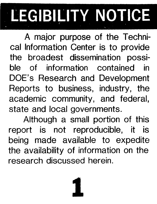# **LEGIBILITY NOTICE**

A major purpose of the Technical Information Center is to provide the broadest dissemination possible of information contained in DOE's Research and Development Reports to business, industry, the academic community, and federal, state and local governments.

Although a small portion of this report is not reproducible, it is being made available to expedite the availability of information on the research discussed herein.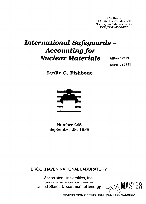BNL-52219 UC-515 (Nuclear Materials Security and Management - DOE/OSTI-4500-R75

## *International Safeguards* **-** *Accounting for Nuclear Materials* **BHL--52219**

**DE90 012751**

### **Leslie G. Fishbone**



Number 245 September 28, 1988

**BROOKHAVEN NATIONAL LABORATORY**

Under Contract No. DE-AC02-76CH00016 with the  $\blacksquare$ **Associated Universities, Inc. United States Department of Energy \ J**

**DISTRIBUTION OF THIS DOOUMENT IS UNUMITED**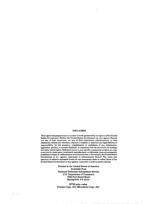#### **DISCLAIMER**

 $\mathbf{r}$ 

**This report was prepared as an account of work sponsored by an agency of the United States Government. Neither the United States Government nor any agency thereof, nor any of their employees, nor any of their contractors, subcontractors, or their employees, makes any warranty, expieas** *o:* **implied, or assumes any legal liability or responsibility for the accuracy, completeness, or usefulness of any information, apparatus, product, or process disclosed, or represents that its use would not infringe privately owned rights. Reference herein to any specific commercial product, process, or service by trade name, trademark, manufacturer, or otherwise, does not necessarily constitute or imply it j endorsement, recommendation, or favoring by the United States Government or ary agency, contractor or subcontractor thereof. The views and opinions of authors expressed herein do not necessarily state or reflect those of the United States Government or any agency, contractor or subcontractor thereof.**

> **Printed in the United States of America Available from National Technical Information Service U.S. Department of Commerce 5285 Port Royal Road Springfield, VA 22161**

**NTIS price codes: Printed Copy: A03; Microfiche Copy: A01**

 $\{x_{i}\}_{i=1}^{n}$ 

 $\cdot$ 

 $\sim 10^{-10}$ 

 $\sim 10$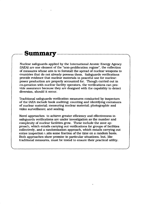## **Summary**

Nuclear safeguards applied by the International Atomic Energy Agency (IAEA) are one element of the "non-proliferation regime", the collection of measures whose aim is to forestall the spread of nuclear weapons to countries that do not already possess them. Safeguards verifications provide evidence that nuclear materials in peaceful use for nuclearpower production are properly accounted for. Though carried out in cooperation with nuclear facility operators, the verifications can provide assurance because they are designed with the capability to detect diversion, should it occur.

Traditional safeguards verification measures conducted by inspectors of the IAEA include book auditing; counting and identifying containers of nuclear material; measuring nuclear material; photographic and video surveillance; and sealing.

Novel approaches to achieve greater efficiency and effectiveness in safeguards verifications are under investigation as the number and complexity of nuclear facilities grow. These include the zone approach, which entails carrying out verifications for groups of facilities collectively, and a randomization approach, which entails carrying out entire inspection  $\sqrt{ }$  sits some fraction of the time on a random basis. Both approaches show promise in particular situations, but, like traditional measures, must be tested to ensure their practical utility.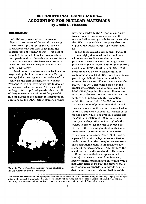#### **INTERNATIONAL SAFEGUARDS-ACCOUNTING FOR NUCLEAR MATERIALS by Leslie G. Fishbone**

#### *Introduction'*

Since the early years of nuclear weapons (Figure 1), countries of the world have sought to stop their spread—primarily to prevent catastrophic war but also to facilitate the peaceful uses of nuclear energy. This goal of stopping the spread of nuclear weapons has been partly realized through treaties and international inspections, the latter constituting a novel but now widely accepted breach of national sovereignty.

Most countries whose nuclear facilities are inspected by the International Atomic Energy Agency (IAEA) are signers and ratiflers of the Treaty on the Non-Proliferation of Nuclear Weapons (NPT) and have agreed not to develop or possess nuclear weapons. These countries undergo "full-scope" safeguards, that is, all of their nuclear materials used for peaceful nuclear purposes are subject to safeguards inspections by the IAEA. Other countries, which



*Figure 1. The first nuclear explosion (photo courtesy oj the Los Alamos National Laboratory).*

have not acceded to the NPT or an equivalent treaty, undergo safeguards on some of their nuclear facilities as agreed between the country, the IAEA, and possibly a third party that has supplied the nuclear facility or nuclear materials.

To put these remarks into context. Figure 2 shows a highly developed nuc lear fuel cycle, whose central facilities are electric-powerproducing nuclear reactors. Although some power reactors are fueled by uranium at natural enrichment, 0.71% U-235 and 99.3% U-238. most are fueled by low-enriched uranium containing 2% to 4% U-235. Enrichment takes place in specialized plants that enrich the uranium by gaseous diffusion or ultracentrifugation. It is the U-235 whose fission in the reactor into smaller fission products and neutrons initially supplies the power. Concurrent with the U-235 neutron chain reaction, neutron capture by U-238 leads to the production, within the reactor fuel, of Pu-239 and more massive isotopes of plutonium and of transplutonic elements as well. As time passes, fission of Pu-239 supplies a substantial fraction of the reactor's power due to its gradual buildup and the gradual depletion of U-235. After about three years of operation, not enough of either isotope is present for the fuel to be used efficiently. If the remaining plutonium that was produced or the residual uranium is to be reused in other reactors (Figure 2). it must be separated from the highly radioactive fission products and from the transplutonic elements. This separation is done in an irradiated-fuel chemical reprocessing plant. Alternatively, the spent fuel can be disposed of directly as waste.

Since nuclear-fission weapons (atomic bombs) can be constructed from both very highly enriched uranium and plutonium with a high abundance of Pu-239. the primary goal of international safeguards is to provide evidence that the nuclear materials and facilities of the

'This lecture will necessarily touch upon political as well as technical subjects. Therefore, though I shall be giving my best interpretation of the subject. 1 emphasize that my views should not be construed as an official position of Brookhaven National Laboratory, the International Atomic Energy Agency, or any branch of the United States Government.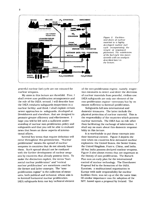

*Figure 2. Facilities and Jlows of nuclear material in a highly developed nuclear fuel cycle incorportaling Die recycle of separated plutoniurn. Tiw subdivision of the fuel cycle into /.ones accords witli an analysis described later in tlw lecture.*

peaceful nuclear fuel cycle are not misused for nuclear weapons.

My aims in this lecture are threefold. First, 1 shall review non-proliferation arrangements and the role of the IAEA: second, 1 will describe how the IAEA conducts safeguards inspections in a nuclear facility; and third, I shall explain certain newer approaches to safeguards, developed at Brookhaven and elsewhere, that are designed to promote greater efficiency and effectiveness. 1 hope you will be left with a sufficient understanding of nuclear non-proliferation policy and safeguards and that you will be able to evaluate news that bears on these aspects of international affairs.

Several key terms that require definition will recur throughout this presentation. "Nuclear proliferation" means the spread of nuclear weapons to countries that do not already have them. Such spread should not be confused with the further development of nuclear weapons by countries that already possess them. To make the distinction explicit, the terms "horizontal nuclear proliferation" and "vertical nuclear proliferation" are sometimes used for the former and latter concepts. The "nonproliferation regime" is the collection of measures, both political and technical, whose aim is to forestall horizontal nuclear proliferation. IAEA safeguards form one key technical element

of the non-proliferation regime, namely, inspection measures to detect and deter the diversion of nuclear materials from peaceful, civilian use. IAEA safeguards are only one element of the non-proliferation regime—necessary but by no means sufficient to forestall proliferation.

Safeguards fall into international and domestic measures. The latter include the physical protection of nuclear material. This is the responsibility of the countries which possess nuclear materials. The IAEA has no role other than facilitating the exchange of information. I shall say *no* more about this domestic responsibility in this lecture.

It is worthwhile to put these concepts into their historical context. Figure 3 depicts the time when six countries first detonated nuclear explosives: the United States, the Soviet Union, the United Kingdom. France, China, and India. All but India possess declared nuclear weapons. Figure 3 also shows events that are important in the history of non-proliferation. The Baruch Plan was an early plan for the international control of nuclear technology. The Eisenhower Proposal led to the formation of the IAEA. Euratom, a multinational organization in Europe with wide responsibility for nuclear facilities there, was set up at the the same time. Of similar importance was the adoption of the NPT. based upon a proposal by Ireland. The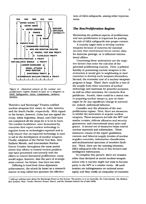

*Figure 3. Historical context of the nuclear nonproliferation regime (based in part on a diagram in* IAEA Safeguards: Aims. Limitations. Achievements).

Tlatelolco and Rarotonga $^{\rm 2}$  Treaties codified nuclear-weapons-free zones in Latin America and the South Pacific, respectively. With regard to the former, however, Cuba has not signed the treaty, while Argentina, Brazil, and Chile have not completed all the steps for it to be in force. The London Guidelines were formulated by countries that export nuclear technology to regulate items or technologies exported and to help ensure that no exported technology is used to aid in the development of nuclear weapons. Finally, adoption of the Partial Test Ban, Anti-Ballistic Missile, and Intermediate Nuclear Forces Treaties throughout the same period shows that efforts to control vertical proliferation have proceeded concurrently with the efforts to control horizontal proliferation; many would argue, however, that the pace of strategic arms control, the former, has been too slow.

Differing in kind from these diplomatic achievements, the attack by Israel on a research reactor in Iraq called into question the effectiveness of IAEA safeguards, among other repercussions.

#### *The Non-Proliferation Regime*

Mentioning the political aspects of proliferation and non-proliferation is important for putting the role of IAEA safeguards into proper context.

A country might wish to develop nuclear weapons because of concerns for nationalsecurity that conventional forces cannot allay, for domestic prestige, or to influence international affairs.

Countering these motivations are the negative factors that enter the calculus of the potential proliferating country. First, a political liability in possessing nuclear weapons is the motivation it would give to neighboring or rival countries to develop such weapons themselves. Second, the economic cost of a nuclear-weapons program is large. Third, there could be a loss of the supply from other countries of nuclear technology and materials for peaceful purposes, as well as other sanctions, for countries that proliferate. Fourth, there could be a moral cost to acquiring nuclear weapons, just as there might be for any significant change in national {or, indeed, individual) behavior.

Consider next the elements of the nonproliferation regime: First, there are measures to inhibit the motivation to acquire nuclear weapons. These measures include the NPT and similar treaties, defense alliances and security guarantees, and conventional arms sales and grants. A second set of measures helps control nuclear materials and information. These measures consist of the export guidelines, controls and bilateral supply treaties of nuclear supplier countries, information classification, and multinational operation of sensitive facilities. Third, there are the warning elements, IAEA safeguards (the focus of this lecture) and intelligence information.

To complete this picture, there are reasons other than declared or secret nuclear-weapon status why a country might not wish to become party to the NPT or a similar treaty. All such treaties are infringements on national sovereignty and they codify an inequality of countries

<sup>2</sup> I will say nothing more about the Rarotonga Treaty in this lecture. The parties to it are Australia, the Cook Islands, Fiji, Kiribati, New Zealand. Niue. Tuvalu. Western Samoa. Nauru, and the Solomon Islands (As of mid 1989).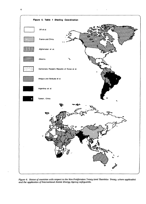



*Figure 4. Status of countries with respect to the Non-Proliferation Treaty (and Tlatelolco Treaty, where applicable) and the application of International Atomic Energy Agency safeguards.*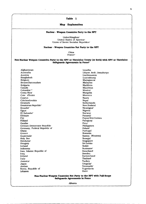#### **Table 1**

#### **Map Explanation**

#### Nuclear - Weapon Countries Party to the NPT

United Kingdom<sup>a</sup> United States of America<sup>4</sup> Union of Soviet Socialist Republics'

#### **Nuclear** - **Weapon Countries Not Party to the NPT**

China France<sup>a</sup>

#### **Non-Nuclear Weapon Countries Party to the NPT or Tlatelolco Treaty (or both) with NPT or Tlatelolco Safeguards Agreements in Force''**

Afghanistan Australia Austria Bangladesh Belgium Brunei Darussalam Bulgaria Canada Colombia<sup>e,d</sup> Costa Rica<sup>r</sup> Cote d'lvoire Cyprus Czechoslovakia Denmark Dominican Republic<sup>e</sup> Ecuador Egypt El Salvador<sup>®</sup> Ethiopia Fiji Finland Gambia German Democratic Republic Germany. Federal Republic of Ghana Greece Guatemala<sup>e</sup> Holy See Honduras<sup>e</sup> Hungary Iceland Indonesia Iran, Islamic Republic of Iraq Ireland Italy Jamaica<sup>e</sup> Japan Jordan Korea, Republic of Lebanon

v

Lesotho Libyan Arab Jamahiriya Liechtenstein Luxembourg Madagascar Malaysia Maldives **Mauritius** Mexico"' Mongolia Morocco Nauru Nepal **Netherlands** New Zealand Nica<mark>ragua</mark>' Nigeria Norway Panama<sup>r</sup> Papua New Guinea Paraguay Peru<sup>e</sup> Philippines Poland Portugal Romania Samoa (Western) Senegal Singapore Sri Lanka Sudan Suriname<sup>r</sup> Swaziland Sweden Switzerland Thailand Turkey Uruguay<sup>.</sup> Venezuela<sup>e</sup> Yugoslavia Zaire

#### **Non-Nuclear-Weapon Countrien Not Party to the NPT with Full-Scope Safeguards Agreements in Force**

Albania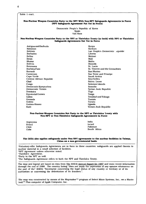$\ddot{\phantom{a}}$ 

| Non-Nuclear Weapon Countries Party to the NPT With Non-NPT Safeguards Agreements in Force<br>(NPT Safeguards Agreement Not Yet in Force)<br>Democratic People's Republic of Korea<br>Spain<br>Viet Nam<br>Non-Nuclear-Weapon Countries Party to the NPT or Tlatelolco Treaty (or both) with NPT or Tlatelolco<br>Safeguards Agreements Not Yet in Force<br>Antigua and Barbuda<br>Kenya<br><b>Bahamas</b><br>Kiribati<br>Bahrain<br>Lao People's Democratic epublic<br><b>Barbados</b><br>Liberia<br><b>Belize</b><br>Malawi<br>Benin<br>Mali<br>Bhutan<br>Malta<br>Bolivia<br>Rwanda<br>St. Lucia<br><b>Botswana</b><br>St. Vincent and the Grenadines<br>Burkina Faso<br>Burundi<br>San Marino<br>Sao Tome and Principe<br>Cameroon<br>Cape Verde<br>Saudi Arabia<br>Central African Republic<br>Seychelles<br>Sierra Leone<br>Chad<br>Solomon Islands<br>Congo<br>Democratic Kampuchea<br>Somolia<br>Democratic Yemen<br>Syrian Arab Republic<br>Dominica<br>Togo<br>Tonga<br>Equatorial Guinea<br>Gabon<br><b>Trinidad and Tobago</b><br>Tunisia<br>Grenada<br>Tuvalu<br>Guinea<br>Guinea-Bissau<br>Uganda<br>Yemen Arab Republic<br>Haiti<br>Non-Nuclear-Weapon Countries Not Party to the NPT or Tlatelolco Treaty with<br>Non-NPT or Non-Tlatelolco Safeguards Agreements in Force<br>India<br>Argentina<br><b>Israel</b><br><b>Brazil</b><br>Pakistan<br>Chile<br>South Africa<br>Cuba<br>The IAEA also applies safeguards under Non-NPT agreements to the nuclear facilities in Taiwan,<br>China on a non-governmental basis.<br>nuclear material in a small selection of facilities. | Table 1 con't.                                                                                                                                                                                                                                                                                                                                                                                  |  |  |
|------------------------------------------------------------------------------------------------------------------------------------------------------------------------------------------------------------------------------------------------------------------------------------------------------------------------------------------------------------------------------------------------------------------------------------------------------------------------------------------------------------------------------------------------------------------------------------------------------------------------------------------------------------------------------------------------------------------------------------------------------------------------------------------------------------------------------------------------------------------------------------------------------------------------------------------------------------------------------------------------------------------------------------------------------------------------------------------------------------------------------------------------------------------------------------------------------------------------------------------------------------------------------------------------------------------------------------------------------------------------------------------------------------------------------------------------------------------------------------------------------------------------------------------------------------------------------------------------|-------------------------------------------------------------------------------------------------------------------------------------------------------------------------------------------------------------------------------------------------------------------------------------------------------------------------------------------------------------------------------------------------|--|--|
|                                                                                                                                                                                                                                                                                                                                                                                                                                                                                                                                                                                                                                                                                                                                                                                                                                                                                                                                                                                                                                                                                                                                                                                                                                                                                                                                                                                                                                                                                                                                                                                                |                                                                                                                                                                                                                                                                                                                                                                                                 |  |  |
|                                                                                                                                                                                                                                                                                                                                                                                                                                                                                                                                                                                                                                                                                                                                                                                                                                                                                                                                                                                                                                                                                                                                                                                                                                                                                                                                                                                                                                                                                                                                                                                                |                                                                                                                                                                                                                                                                                                                                                                                                 |  |  |
|                                                                                                                                                                                                                                                                                                                                                                                                                                                                                                                                                                                                                                                                                                                                                                                                                                                                                                                                                                                                                                                                                                                                                                                                                                                                                                                                                                                                                                                                                                                                                                                                |                                                                                                                                                                                                                                                                                                                                                                                                 |  |  |
|                                                                                                                                                                                                                                                                                                                                                                                                                                                                                                                                                                                                                                                                                                                                                                                                                                                                                                                                                                                                                                                                                                                                                                                                                                                                                                                                                                                                                                                                                                                                                                                                |                                                                                                                                                                                                                                                                                                                                                                                                 |  |  |
|                                                                                                                                                                                                                                                                                                                                                                                                                                                                                                                                                                                                                                                                                                                                                                                                                                                                                                                                                                                                                                                                                                                                                                                                                                                                                                                                                                                                                                                                                                                                                                                                |                                                                                                                                                                                                                                                                                                                                                                                                 |  |  |
|                                                                                                                                                                                                                                                                                                                                                                                                                                                                                                                                                                                                                                                                                                                                                                                                                                                                                                                                                                                                                                                                                                                                                                                                                                                                                                                                                                                                                                                                                                                                                                                                |                                                                                                                                                                                                                                                                                                                                                                                                 |  |  |
|                                                                                                                                                                                                                                                                                                                                                                                                                                                                                                                                                                                                                                                                                                                                                                                                                                                                                                                                                                                                                                                                                                                                                                                                                                                                                                                                                                                                                                                                                                                                                                                                |                                                                                                                                                                                                                                                                                                                                                                                                 |  |  |
|                                                                                                                                                                                                                                                                                                                                                                                                                                                                                                                                                                                                                                                                                                                                                                                                                                                                                                                                                                                                                                                                                                                                                                                                                                                                                                                                                                                                                                                                                                                                                                                                |                                                                                                                                                                                                                                                                                                                                                                                                 |  |  |
|                                                                                                                                                                                                                                                                                                                                                                                                                                                                                                                                                                                                                                                                                                                                                                                                                                                                                                                                                                                                                                                                                                                                                                                                                                                                                                                                                                                                                                                                                                                                                                                                |                                                                                                                                                                                                                                                                                                                                                                                                 |  |  |
|                                                                                                                                                                                                                                                                                                                                                                                                                                                                                                                                                                                                                                                                                                                                                                                                                                                                                                                                                                                                                                                                                                                                                                                                                                                                                                                                                                                                                                                                                                                                                                                                |                                                                                                                                                                                                                                                                                                                                                                                                 |  |  |
|                                                                                                                                                                                                                                                                                                                                                                                                                                                                                                                                                                                                                                                                                                                                                                                                                                                                                                                                                                                                                                                                                                                                                                                                                                                                                                                                                                                                                                                                                                                                                                                                |                                                                                                                                                                                                                                                                                                                                                                                                 |  |  |
|                                                                                                                                                                                                                                                                                                                                                                                                                                                                                                                                                                                                                                                                                                                                                                                                                                                                                                                                                                                                                                                                                                                                                                                                                                                                                                                                                                                                                                                                                                                                                                                                |                                                                                                                                                                                                                                                                                                                                                                                                 |  |  |
|                                                                                                                                                                                                                                                                                                                                                                                                                                                                                                                                                                                                                                                                                                                                                                                                                                                                                                                                                                                                                                                                                                                                                                                                                                                                                                                                                                                                                                                                                                                                                                                                |                                                                                                                                                                                                                                                                                                                                                                                                 |  |  |
|                                                                                                                                                                                                                                                                                                                                                                                                                                                                                                                                                                                                                                                                                                                                                                                                                                                                                                                                                                                                                                                                                                                                                                                                                                                                                                                                                                                                                                                                                                                                                                                                |                                                                                                                                                                                                                                                                                                                                                                                                 |  |  |
|                                                                                                                                                                                                                                                                                                                                                                                                                                                                                                                                                                                                                                                                                                                                                                                                                                                                                                                                                                                                                                                                                                                                                                                                                                                                                                                                                                                                                                                                                                                                                                                                |                                                                                                                                                                                                                                                                                                                                                                                                 |  |  |
|                                                                                                                                                                                                                                                                                                                                                                                                                                                                                                                                                                                                                                                                                                                                                                                                                                                                                                                                                                                                                                                                                                                                                                                                                                                                                                                                                                                                                                                                                                                                                                                                |                                                                                                                                                                                                                                                                                                                                                                                                 |  |  |
|                                                                                                                                                                                                                                                                                                                                                                                                                                                                                                                                                                                                                                                                                                                                                                                                                                                                                                                                                                                                                                                                                                                                                                                                                                                                                                                                                                                                                                                                                                                                                                                                |                                                                                                                                                                                                                                                                                                                                                                                                 |  |  |
|                                                                                                                                                                                                                                                                                                                                                                                                                                                                                                                                                                                                                                                                                                                                                                                                                                                                                                                                                                                                                                                                                                                                                                                                                                                                                                                                                                                                                                                                                                                                                                                                |                                                                                                                                                                                                                                                                                                                                                                                                 |  |  |
|                                                                                                                                                                                                                                                                                                                                                                                                                                                                                                                                                                                                                                                                                                                                                                                                                                                                                                                                                                                                                                                                                                                                                                                                                                                                                                                                                                                                                                                                                                                                                                                                |                                                                                                                                                                                                                                                                                                                                                                                                 |  |  |
|                                                                                                                                                                                                                                                                                                                                                                                                                                                                                                                                                                                                                                                                                                                                                                                                                                                                                                                                                                                                                                                                                                                                                                                                                                                                                                                                                                                                                                                                                                                                                                                                |                                                                                                                                                                                                                                                                                                                                                                                                 |  |  |
|                                                                                                                                                                                                                                                                                                                                                                                                                                                                                                                                                                                                                                                                                                                                                                                                                                                                                                                                                                                                                                                                                                                                                                                                                                                                                                                                                                                                                                                                                                                                                                                                |                                                                                                                                                                                                                                                                                                                                                                                                 |  |  |
|                                                                                                                                                                                                                                                                                                                                                                                                                                                                                                                                                                                                                                                                                                                                                                                                                                                                                                                                                                                                                                                                                                                                                                                                                                                                                                                                                                                                                                                                                                                                                                                                |                                                                                                                                                                                                                                                                                                                                                                                                 |  |  |
|                                                                                                                                                                                                                                                                                                                                                                                                                                                                                                                                                                                                                                                                                                                                                                                                                                                                                                                                                                                                                                                                                                                                                                                                                                                                                                                                                                                                                                                                                                                                                                                                |                                                                                                                                                                                                                                                                                                                                                                                                 |  |  |
| "Voluntary-offer Safeguards Agreements are in force in these countries; safeguards are applied therein to<br>The map was constructed by means of the Mapmaker <sup>7M</sup> program of Select Micro Systems, Inc., on a Macin-<br>tosh <sup>™</sup> Plus computer of Apple Computer, Inc.                                                                                                                                                                                                                                                                                                                                                                                                                                                                                                                                                                                                                                                                                                                                                                                                                                                                                                                                                                                                                                                                                                                                                                                                                                                                                                      |                                                                                                                                                                                                                                                                                                                                                                                                 |  |  |
|                                                                                                                                                                                                                                                                                                                                                                                                                                                                                                                                                                                                                                                                                                                                                                                                                                                                                                                                                                                                                                                                                                                                                                                                                                                                                                                                                                                                                                                                                                                                                                                                |                                                                                                                                                                                                                                                                                                                                                                                                 |  |  |
|                                                                                                                                                                                                                                                                                                                                                                                                                                                                                                                                                                                                                                                                                                                                                                                                                                                                                                                                                                                                                                                                                                                                                                                                                                                                                                                                                                                                                                                                                                                                                                                                |                                                                                                                                                                                                                                                                                                                                                                                                 |  |  |
|                                                                                                                                                                                                                                                                                                                                                                                                                                                                                                                                                                                                                                                                                                                                                                                                                                                                                                                                                                                                                                                                                                                                                                                                                                                                                                                                                                                                                                                                                                                                                                                                |                                                                                                                                                                                                                                                                                                                                                                                                 |  |  |
|                                                                                                                                                                                                                                                                                                                                                                                                                                                                                                                                                                                                                                                                                                                                                                                                                                                                                                                                                                                                                                                                                                                                                                                                                                                                                                                                                                                                                                                                                                                                                                                                |                                                                                                                                                                                                                                                                                                                                                                                                 |  |  |
|                                                                                                                                                                                                                                                                                                                                                                                                                                                                                                                                                                                                                                                                                                                                                                                                                                                                                                                                                                                                                                                                                                                                                                                                                                                                                                                                                                                                                                                                                                                                                                                                |                                                                                                                                                                                                                                                                                                                                                                                                 |  |  |
| "NPT Agreement unless otherwise noted.<br>'Tlatelolco Agreement.<br>"Party to the NPT as well.<br>The Safeguards Agreement refers to both the NPT and Tlatelolco Treaty.                                                                                                                                                                                                                                                                                                                                                                                                                                                                                                                                                                                                                                                                                                                                                                                                                                                                                                                                                                                                                                                                                                                                                                                                                                                                                                                                                                                                                       |                                                                                                                                                                                                                                                                                                                                                                                                 |  |  |
|                                                                                                                                                                                                                                                                                                                                                                                                                                                                                                                                                                                                                                                                                                                                                                                                                                                                                                                                                                                                                                                                                                                                                                                                                                                                                                                                                                                                                                                                                                                                                                                                |                                                                                                                                                                                                                                                                                                                                                                                                 |  |  |
|                                                                                                                                                                                                                                                                                                                                                                                                                                                                                                                                                                                                                                                                                                                                                                                                                                                                                                                                                                                                                                                                                                                                                                                                                                                                                                                                                                                                                                                                                                                                                                                                |                                                                                                                                                                                                                                                                                                                                                                                                 |  |  |
|                                                                                                                                                                                                                                                                                                                                                                                                                                                                                                                                                                                                                                                                                                                                                                                                                                                                                                                                                                                                                                                                                                                                                                                                                                                                                                                                                                                                                                                                                                                                                                                                |                                                                                                                                                                                                                                                                                                                                                                                                 |  |  |
|                                                                                                                                                                                                                                                                                                                                                                                                                                                                                                                                                                                                                                                                                                                                                                                                                                                                                                                                                                                                                                                                                                                                                                                                                                                                                                                                                                                                                                                                                                                                                                                                |                                                                                                                                                                                                                                                                                                                                                                                                 |  |  |
|                                                                                                                                                                                                                                                                                                                                                                                                                                                                                                                                                                                                                                                                                                                                                                                                                                                                                                                                                                                                                                                                                                                                                                                                                                                                                                                                                                                                                                                                                                                                                                                                |                                                                                                                                                                                                                                                                                                                                                                                                 |  |  |
|                                                                                                                                                                                                                                                                                                                                                                                                                                                                                                                                                                                                                                                                                                                                                                                                                                                                                                                                                                                                                                                                                                                                                                                                                                                                                                                                                                                                                                                                                                                                                                                                |                                                                                                                                                                                                                                                                                                                                                                                                 |  |  |
|                                                                                                                                                                                                                                                                                                                                                                                                                                                                                                                                                                                                                                                                                                                                                                                                                                                                                                                                                                                                                                                                                                                                                                                                                                                                                                                                                                                                                                                                                                                                                                                                |                                                                                                                                                                                                                                                                                                                                                                                                 |  |  |
|                                                                                                                                                                                                                                                                                                                                                                                                                                                                                                                                                                                                                                                                                                                                                                                                                                                                                                                                                                                                                                                                                                                                                                                                                                                                                                                                                                                                                                                                                                                                                                                                | The map and legend are based on data from The (IAEA) Annual Report for 1987 and more recent information<br>through the end of 1988. The country listing "does not imply the expression of any opinion whatsoever on<br>the part of the" (IAEA) "Secretariat concerning the legal status of any country or territory or of its<br>authorities or concerning the delimitation of its frontiers.". |  |  |
|                                                                                                                                                                                                                                                                                                                                                                                                                                                                                                                                                                                                                                                                                                                                                                                                                                                                                                                                                                                                                                                                                                                                                                                                                                                                                                                                                                                                                                                                                                                                                                                                |                                                                                                                                                                                                                                                                                                                                                                                                 |  |  |

 $\bar{b}$ 

 $\omega_{\rm{max}}=0.01$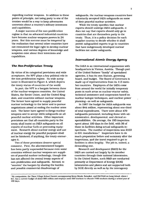regarding nuclear weapons. In addition to these points of principle, not being party to one of the treaties would be a way to keep adversaries uncertain about a country's military intentions and capabilities.

A major success of the non-proliferation regime is that no advanced industrial countries have become nuclear-weapons powers in 24 years. But this success must be tempered by the realization that several other countries have not renounced the legal right to develop nuclear weapons, and various degrees of knowledge and suspicion exist about their intentions and capabilities.

#### **The** *Non-Proliferation Treaty*

By virtue of its categorical provisions and wide acceptance, the NPT plays a key political role in the non-proliferation regime. Its wide acceptance is illustrated in Figure 4, which depicts the treaty status of countries of the world.

In part, the NPT is a bargain between three of the nuclear-weapons countries, the United States, the Soviet Union, and the United Kingdom, and countries without nuclear weapons. The former have agreed to supply peaceful nuclear technology to the latter and to pursue negotiations aimed at ending the nuclear arms race. The latter have agreed to forego nuclear weapons and to accept IAEA safeguards on all peaceful nuclear activities. Other important provisions are that all countries party to the treaty shall insist on IAEA safeguards on all exports of nuclear fuels or processing equipment. Research about nuclear energy and use of nuclear energy for peaceful purposes shall not be hindered; if anything, the treaty encourages it.

Two of these provisions deserve special comment. First, the aforementioned bargain has been partly superseded because even some countries without nuclear weapons are suppliers of peaceful nuclear technology, though this has not affected the central treaty aspects of non-proliferation and safeguards. Second, to "sweeten" the bargain by sharing the burden and possible commercial disadvantage of

safeguards, the nuclear-weapons countries have voluntarily accepted IAEA safeguards on some of their peaceful nuclear activities.

While the treaty specifies that nuclear exports should undergo IAEA safeguards, it does not say that exports should only go to countries that are themselves party to the treaty. Thus, it is a policy decision for each supplier country to decide whether it shall permit safeguarded exports to go to countries that have indigenously developed nuclear facilities not under safeguards.

#### *International Atomic Energy Agency*

The IAEA is an international organization with headquarters in Vienna, Austria. Though part of the United Nations "family" of specialized agencies, it has its own Statute, governing board, and budget. The Board of Governors is made up of representatives from its 113 member countries. Employees of the IAEA come from around the world for initially temporary posts in such areas as nuclear-reactor safety, technical assistance and cooperation based on nuclear isotopic techniques, and nuclear-power planning—as well as safeguards.

In 1987 the budget for IAEA safeguards was about \$44 million, representing about one-third of total expenditures. There were about 470 safeguards personnel, including those with administrative, developmental, and clerical responsibilities. On average, the 195 inspectors spent about 100 days in the field, with 56 of those in facilities doing actual safeguards inspections. The number of inspections was 2133 in 631 installations.<sup>3</sup> Inspectors have to do much preparation before and summary after the inspections, and the travel required to get to facilities is often lengthy. The job is, indeed, a demanding one.

Research and development (R&D) for the IAEA are carried out largely by its member countries through their national laboratories. In the United States, such R&D are conducted primarily at Department of Energy (DOE) laboratories and plants and are supported both by DOE directly as well as by the interagency

<sup>1</sup> By comparision. the Three Village School District encompassing Stony Brook. Setauket, and Old Field on Long Island, where 1 live, has a current budget of about \$66 million and employs some 550 teachers to educate 7100 students during a school year of 180 days.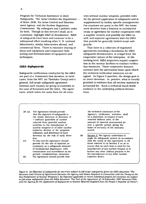Program for Technical Assistance to IAEA Safeguards. The latter involves the Department  $\cdot$ of State, DOE. the Arms Control and Disarmament Agency, and the Nuclear Regulatory Commission. My colleagues and I perform tasks for both. Though in this lecture I shall, as is customary, highlight R&D at Brookhaven, R&D of safeguards have been and continue to be a widespread effort involving other U. S. national laboratories, similar laboratories abroad, and commercial firms. There is extensive sharing of ideas and equipment and cooperative fieldtesting and demonstration of equipment and techniques.

#### *IAEA Safeguards*

Safeguards verifications conducted by the IAEA are part of a framework that devolves, in most cases, from the NPT (or Tlatelolco Treaty) and a general, full-scope safeguards agreement between each country (or group of countries in the case of Euratom) and the IAEA. The agreement, which takes the same form for all coun-

tries without nuclear weapons, provides rules for the general application of safeguards and is supplemented by facility-specific arrangements. For countries not party to the NPT. the framework devolves from a bilateral or multilateral treaty or agreement for nuclear cooperation with a supplier country and possibly the IAEA as well, and separate agreements with the IAEA that provide for generally limited-scope safeguards.

That there is a collection of negotiated agreements providing a foundation for IAEA safeguards demonstrates, at a legal level, the cooperative nature of the enterprise. At the working level, IAEA inspectors require cooperation in the nuclear facilities to conduct verification measures. These cooperative features contrast with the adversarial basis upon which the technical verification measures are designed. As Figure 5 specifies, the design goal is to detect diversion. In practice, what is usually provided is evidence that all nuclear material is accounted for. Such a technical result lends credence to the underlying political declarations.

28. (a) The Agreement should provide that the objective of safeguards is the timely detection of diversion of ci^nificant quantities of *nuclear material* from peaceful nuclear activities to the manufacture of nuclear weapons or of other nuclear explosive devices or for purposes unknown, and deterrence of such diversion by the risk of early detection.

29. To this end the Agreement should provide for the use of material accountancy as a safeguards measure of fundamental importance, with containment and surveillance as important complementary measures.

30. The Agreement should provide that

the technical conclusion of the Agency's verification activities shall be a statement, in respect of each *material balance area,* of the amount of *material unaccounted for* over a specific period, giving the limits of accuracy of the amounts stated.

(b) Section 3. The Agency undertakes to apply its safeguards system in accordance with the terms of this Agreement to all items referred to in Section 2 so as to ensure that no such item is used for the manufacture of any nuclear weapon or to further any other military purpose or for the manufacture of any other nuclear explosive device.

*Figure 5. (a) Objective of safeguards for countries subject to full-scope safeguards (from the IAEA document* "The *Structure and Content of Agreements Between the Agency and States Required in Connection with the Treaty on the Non-proliferation of Nuclear Weapons'), (b) Objective applicable to recent individual projects for countries not subject to full-scope safeguards {from the IAEA document "The Text of the Agreement of 18 September 1987 Between Chile and the Agency for the Application of Safeguards to Nuclear Material Supplied from the People's Republic of China"}.*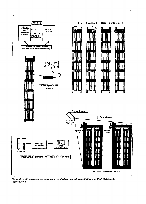

*Figure 6.* IAEA *measures for safeguards verification (based upon diagrams in* IAEA Safeguards: Introduction).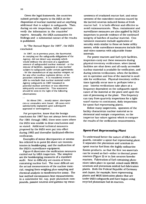Given the legal framework, the countries submit periodic reports to the IAEA on the disposition of nuclear material and on anything additional that is subject to safeguards. Then, during on-site inspections, IAEA inspectors verify the information in the countries' reports. Annually, the IAEA summarizes its findings and a substantial extract of the results is published.

In 'The Annual Report for 1987", the IAEA concluded:

In 1987, as in previous years, the Secretariat, in carrying out the safeguards obligations of the Agency, did not detect any anomaly which would indicate the diversion of a significant amount of safeguarded nuclear material - or the misuse of facilities, equipment or non-nuclear subject to safeguards under certain agreements - for the manufacture of any nuclear weapon, or for any other nuclear explosive device, or for purposes unknown... It is considered reasonable to conclude that nuclear material under Agency safeguards in 1987 remained in peaceful nuclear activities or was otherwise adequately accounted for. This statement should be seen in the light of the following observations:

(b) About 290.... mostly minor, discrepancies or anomalies were found. Ali cases were satisfactorily explained upon subsequent appraisal or investigation:...

For perspective, know that the benign conclusion for 1987 has not always been drawn. For 1981 through 1983. there were cases where the IAEA was unable to draw conclusions and so stated. Additional technical measures proposed by the IAEA were put into effect during 1983 and thereafter facilitated effective verification.

Examples of minor discrepancies or anomalies referred to in point (b) above are inconsistencies in bookkeeping and the malfunction of the IAEA's surveillance equipment.

Figure 6 illustrates the verification measures carried out by IAEA inspectors. The simplest are the bookkeeping measures of a standard audit. Next in difficulty are counts of items containing nuclear fuel. The most difficult are the actual measurements of the nuclear material, ranging from weighing plus sampling and chemical analysis to nondestructive assay. The last method encompasses heat measurements in a calorimeter for, say, pure plutonium compounds, passive neutron and gamma ray measurements of irradiated reactor fuel, and measurement of the coincident neutrons caused by the (active) neutron-induced fission of fresh reactor fuel. It is both efficient and effective to avoid remeasurements. Thus, containment and surveillance measures are also applied by IAEA inspectors to provide evidence of the continued integrity of batches of nuclear material. Containment measures include application of security seals similar to those on home utility meters, while surveillance measures include film and video cameras with adjustable frame intervals.

For power reactors and fuel-cycle facilities, inspectors carry out these measures during physical-inventory verifications, when (most) facilities are shut down and all easily accessible nuclear material is available for verification, and during interim verifications, when the facilities are in operation and less of the material is available for verification. Physical-inventory verifications typically occur once *ov* perhaps twice a year. Interim verifications take place at a frequency dependent on the safeguards significance of the material at the plant and upon the rate of processing at the plant. This frequency can Vary from quarterly inspections for a lightwater reactor to continuous, daily inspections for spent-fuel reprocessing plants.

Before many inspections, operators of the facility characterize nuclear material as to elemental and isotopic composition, so the inspector has values against which to compare the results of the verification measurements.

#### **Spent-Fuel** *Reprocessing Plant*

To understand better the nature of IAEA safeguards, consider a spent-fuel reprocessing plant. It separates the plutonium and uranium in spent reactor fuel from the highly radioactive fission products, so that the first two materials can be reused as fuel—either in thermal power reactors (Figure 2) or in fast-neutron breeder reactors. Fabrication of fuel containing plutonium takes place in special, mixed-oxide (MOX; uranium and plutonium oxides) fuel-fabrication plants. Both the Federal Republic of Germany and Japan, for example, have reprocessing plants and MOX fabrication plants that are under IAEA safeguards and have begun using recycled plutonium fuel in reactors.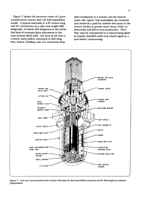Figure 7 shows the pressure vessel of a pressurized-water reactor with the fuel assemblies inside. A typical assembly is 4.07 meters long and 21 centimeters on a side and weighs 620 kilograms, of which 423 kilograms is the initial fuel load of uranium (plus plutonium in the case of fresh MOX fuel); the form of the fuel is ceramic oxide pellets contained in 264 long, thin, hollow cladding rods of a zirconium alloy.

After irradiation in a reactor core for several years, the "spent" fuel assemblies are removed and stored in a pool for another few years at the reactor facility to permit some decay of the radioactivity and fall in heat production. Then they may be transported to a reprocessing plant in heavily shielded casks and stored again in a pool before reprocessing.



*Figure 7. Core of a pressurized-water reactor showing the fuel assemblies (courtesy of the Westinghouse Electric Corporation).*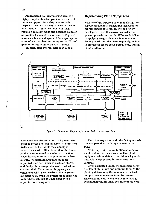**12**

ļ

An irradiated-fuel reprocessing plant is a highly complex chemical plant with a maze of tanks and pipes. For safety reasons with respect to chemical toxicity. nuclear criticality, and radiation, it must be built with thick, radiation-resistant walls and designed as much as possible for remote maintenance. Figure 8 shows a schematic diagram of the major operations of such a plant according to the "Purex" (plutonium-uranium extraction) process.

In brief, after interim storage in a pool.

#### *Reprocessing-Plant Safeguards*

Because of the expected operation of large new reprocessing plants, safeguards measures for reprocessing plants continue to be actively developed. Given this caveat, consider the general procedures that the IAEA would follow in applying safeguards to such an operation. Some procedures take place frequently, as fuel is processed; others occur infrequently, during plant shutdowns.



*Figure 8. Schematic diagram of a spent-fuel reprocessing plant.*

assemblies are sheared into small pieces. The chopped pieces are then immersed in nitric acid to dissolve the fuel, while the cladding is removed as waste. After dissolution, the fission products are removed in a solvent extraction stage, leaving uranium and plutonium. Subsequently, the uranium and plutonium are separated from each other in partition stages, and finally, these two products are purified and concentrated. The uranium is typically converted to a solid oxide powder in the reprocessing plant itself, while the plutonium is converted from nitrate solution to oxide powder in a separate processing area.

First, the inspectors audit the facility records and compare them with reports sent to the IAEA.

Next, they verify the calibration of measurement equipment, their own as well as plant equipment whose data are crucial to safeguards, particularly equipment for measuring tank volumes.

Given calibrated tanks, the inspectors verify the flow of plutonium and uranium through the plant by determining the amounts in the feed to and products and wastes from the process. These amounts are calculated by multiplying the solution volume times the nuclear material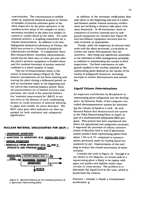concentration. The concentration is verified either by analytical chemical analysis in Vienna of samples of process solutions given to the IAEA inspectors by the plant operators, or by nondestructive assay of the samples in instrumentation installed at the plant but subject to control or careful check by the IAEA . For solid uranium product, a weighing substitutes for a volume measurement. In addition to its own Safeguards Analytical Laboratory in Vienna, the IAEA has access to a Network of Analytical Laboratories worldwide. To complement these flow measurements, inventory measurements would also be done once or twice per year after the plant's process equipment is flushed clean and the residual inventory of nuclear material confined to a small number of tanks.

This set of measurements leads to the notion of material balance (Figure 9). This balance encompasses all the flows entering and leaving the plant during a delineated period, as well as inventories taken at the beginning and the end of this material-balance period. Since all measurements are of limited accuracy and precision, the result of the material balance, the "material unaccounted for" (MUF), is not zero even in the absence of such confounding factors as small amounts of material adhering to pipes and vessels, let alone diversion. The MUF value plus other indicators are then appraised for both statistical and safeguards significance.

#### **NUCLEAR MATERIAL UNACCOUNTED FOR (MUF)**

#### **+ BEGINNING INVENTORY**

- + ADDITIONS TO INVENTORY (E.G., **BISSOLVED FUEL)**
- **ENDING INVENTORY**
- **REMOVALS FROM INVENTORY (E.G., Pu AND U. PRODUCTS AND PROCESS WASTE)**



*Figure 9. Material balance for the chemical process of a spent-fuel reprocessing plant.*

In addition to the inventory verifications that take place at the beginning and end of a material-balance period, interim inventory verifications not involving a cleanout take place even more frequently. At all inventories, seals on containers of nuclear material and on safeguards equipment are checked (see Figure 6) and surveillance equipment serviced and records reviewed, as appropriate.

Finally, while the inspectors do discuss their work with the plant personnel, particularly to resolve any minor discrepancies that are uncovered, they bring any significant anomalies to the attention of IAEA management promptly, in addition to summarizing the results of their inspections. The final conclusions on safeguards applied to the nuclear material at the reprocessing plant depend on the results of the totality of safeguards measures, including attempts to resolve discrepancies and anomalies.

#### *Liquid Volume Determinations*

An important contribution by Brookhaven to reprocessing-plant safeguards was the development, by Sylvester Suda, of the computer-controlled electromanometer system for determining the volume of liquid in a tank. He and Bernard Keisch first demonstrated the system at the Tokai Reprocessing Plant in Japan as part of a multinational safeguards R&D program. This system was later reproduced elsewhere for operational and safeguards purposes. It improved the precision of volume measurements of dissolver feed to and of plutonium nitrate product from reprocessing plants from about 1.0% to 0.1% compared to measurements previously made by reading liquid manometers by eye. Improvements of this sort help to reduce the overall uncertainty of measurement.

Consider the tank in Figure 10. Though it is not shown in the diagram, an actual tank at a reprocessing plant is likely to be replete with pipes and guides and slablike rather than circular in cross section. The problem is to determine the liquid level in the tank, which is found from the relation:

Pressure = Density x Depth x Gravitational acceleration g.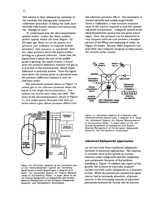The volume is then obtained by reference to the carefully but infrequently conducted calibration procedure of filling the tank incrementally with known volumes and measuring the changes in level.

To understand how the electromanometer system works, notice the three bubbler probes (pipes) within the tank (Figure 10). Nitrogen gas flows out of the probes at a pressure just sufficient to maintain bubble formation; this pressure is monitored, with the vapor pressure above the liquid surface serving as a general reference. Given that the liquid level is above the end of the middle probe's opening, the liquid density is found from the pressure difference between the gas in it and that in the bottom probe, whose depth difference is precisely known. Then the liquid level above the bottom probe is calculated from the pressure difference between it and the reference probe.

The pneumatic scanner shown in Figure 10 routes gas at the reference pressure above the liquid to the single electromanometer. One system can service more than one tank. The heart of the electromanometer, shown in Figure 11, is a coiled quartz Bourdon tube that untwists when a gas, whose pressure differs from



*Figure 10. Schematic diagram of the pneumatic part of the electromanometer system for measuring liquid levels in tanks (based upon a diagram in S.* Suda. "An *Automated System for Volume Measurements in Accountancy Tanks," a paper given at the 1st Annual Symposium on Safeguards and Nuclear Material Management of the European Safeguards Research and Development Association).*

the reference pressure, fills it. The movement is sensed optically and nulled magnetically. Given a calibration, a very accurate measurement of the current required to null the untwisting yields the pressure. Computer control of the electromanometer system has two great advantages. First, the pressure can be measured at very frequent intervals and provides a detailed picture of the filling and emptying of tanks, as Figure 12 shows. Second, IAEA inspectors can load their own computer program to help ensure the veracity of the results.



*Figure 11. Schematic diagram of a Bourdon tube electromanometer (based upon a diagram in S. Suda, "An Automated* System *for Volume Measurements in Accountancy Tanks." a paper given at the 1st Annual Symposium on Safeguards and Nuclear Material Management of the European Safeguards Research and Development Association).*

#### *Advanced Safeguards Approaches*

Let me turn now from traditional safeguards methods to advanced approaches. The impetus to consider them is the growth in nuclear material under safeguards and the complexity and automated character of the facilities handling it. Figure 13 exhibits one aspect of the growth: the amount of especially sensitive nuclear material under safeguards as a function of time. While the plutonium contained in spent reactor fuel is extremely abundant, of greater concern is the increasing amount of separated plutonium destined for recycle fuel in reactors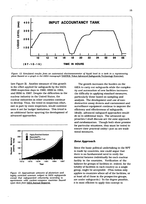

*Figure 12. Simulated results from an automated electromanometer of liquid level in a tank in a reprocessing plant (based on a graph in the IAEA monograph* TASTEX: Tokai Advanced Safeguards Technology Exercise).

(see Figure 2). Another measure of this growth is the effort applied for safeguards by the IAEA: 3985 inspection days in 1980, 6599 in 1984, and 9556 in 1987. Despite the difficulties in the nuclear industry in the United States, the nuclear industries in other countries continue to develop. Thus, the trend in inspection effort, met in part by more inspectors, would continue were it not for budget limitations. This trend is an additional factor spurring the development of advanced approaches.



*Figure 13. Approximate amounts of plutonium and flighty enriched uranium subject to IAEA safeguards except that safeguarded voluntarily according to agreements with nuclear-weapons countries (based upon data from* IAEA Annual Reports).

The growth increases the burden on the IAEA to carry out safeguards while the complexity and automation of new facilities increases the difficulty in applying standard measures, particularly those based on sampling and analysis. The development and use of nondestructive assay devices and containment and surveillance equipment continue to improve the efficiency and effectiveness of safeguards. Ideally, advanced safeguard approaches would do so in additional ways. The advanced approaches I shall discuss are the zone approach and randomization. Though both show promise for particular situations, they must be tested to ensure their practical utility—just as are traditional measures.

#### *Zone Approach*

Since the basic political undertaking in the NPT is made by countries, one could argue that there is no fundamental need to verify the material balance individually for each nuclear facility in the countries. Verification of the balance for groups of facilities or, indeed, for the totality of facilities in each country as a single group, might be acceptable. (This notion only applies to countries where all of the facilities, or at least all of those in the prospective groups, are under safeguards.) To the degree possible, it is most efficient to apply this concept to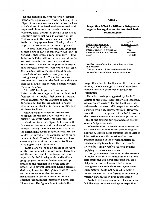facilities handling nuclear material of similar safeguards significance. Thus, the fuel cycle in Figure 2 encompasses zones for natural or lowenriched uranium, irradiated reactor fuel, and separated plutonium. Although the IAEA currently takes account of certain aspects of a country's entire fuel cycle in carrying out its verifications, in the present context I shall refer to the existing approach as a "facility-oriented" approach in contrast to the "zone approach".

The first main feature of the zone approach is that flows of nuclear material would only be verified if they cross a zone boundary. Flows between facilities within the zone would not be verified, though the countries would still report them. The second important feature is that physical-inventory verifications for all of the facilities within the zone would be conducted simultaneously or nearly so, e.g., during a single week. These features are tantamount to treating the facilities within the zone as a single facility with a single verified material balance.

The IAEA has begun applying one key feature of the zone approach to the fresh-fuel facilities of the nuclear fuel cycle of Canada, whose reactors rely on uranium of natural enrichment. The feature applied is nearly simultaneous physical-inventory verifications at these facilities.

William Higinbotham and I studied the approach for the fresh-fuel facilities of a nuclear fuel cycle whose reactors use lowenriched uranium fuel. Figure 2 illustrates the facilities in this zone and the flows of nuclear material among them. We assumed that all of the enrichment occurs in another country, so we did not introduce the complication of an enrichment plant. Theodor Teichmann and I are extending the work to the zone of facilities handling separated plutonium.

Table 2 shows the main result of the work on the low-enriched-uranium zone. There is a significant decrease in the inspection effort required for IAEA safeguards verifications from the most intensive facility-oriented approach to the maximal use of the zone approach, with several variations having intermediate requirements. The figures relate to a zone with one conversion plant (uranium hexafluoride to uranium oxide), three lowenriched-uranium fuel-fabrication plants, and 21 reactors. The figures do not include the

#### **Table 2**

#### **Inspection Effort for Different Safeguards Approaches Applied to the Low-Enriched-Uranium Zone**

|                                             | Effort           |
|---------------------------------------------|------------------|
| Safeguards Approach                         | (Inspector-Days) |
| Maximal Facility-Oriented <sup>®</sup>      | 770              |
| International Flow Unverified               | 713              |
| Intermediate Facility-Oriented <sup>1</sup> | 617-644          |
| Zone <sup>r</sup>                           | 488-548          |

"Verifications of uranium oxide flow at shipper and receiver.

<sup>b</sup>One verification of the uranium oxide flow. 'No verifications of the uranium oxide flow.

inspection effort for facilities in other zones, nor do they include savings in travel if most flow verifications at a given type of facility are eliminated.

The effort savings suggested by Table 2 accrue to the IAEA. But there would generally be equivalent savings for the facilities under safeguards, because IAEA inspectors are often escorted by facility representatives. However, since the current approach of the IAEA involves the intermediate facility-oriented approach in Table 2, the extreme savings indicated are not realizable by either side.

While the zone approach permits inspection with less effort than does the facility-oriented approach, there is a concomitant loss of verified information about the location of nuclear material. Instead of the verified material balances applying tc each facility, there would instead be a single verified material balance applying to the zone as a whole.

It is by no means clear whether the absence of verified location information inherent in the zone approach is a significant problem, especially for natural or low-enriched uranium having relatively low safeguards significance. Such material could not be used to make a nuclear weapon without further enrichment or nuclear transmutation plus reprocessing.

Analysis of the zone approach for plutonium facilities may not show savings in inspection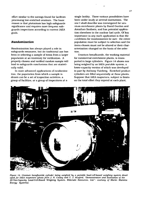effort similar to the savings found for facilities processing low-enriched uranium. The basic reason is that plutonium has high safeguards significance and requires more frequent safeguards inspections according to current IAEA goals.

#### *Randomization*

Randomization has always played a role in safeguards measures, but its traditional use has been in selecting a sample of items from a larger population at an inventory for verification. A properly chosen and verified random sample will lead to safeguards conclusions that are statistically valid.

In more advanced applications of randomization, the population from which a sample is drawn can be a set of inspection activities, a group of facilities, or a group of inspections at a

single facility. These various possibilities have been under study at several institutions. The one I shall describe was investigated for uranium enrichment plants by David Gordon and Jonathan Sanborn, and has potential application elsewhere in the nuclear fuel cycle. Of key importance in any such application is that the conditions for randomization be met: the entire population must be subject to selection and the items chosen must not be altered or their characterization changed on the basis of the selection.

Uranium hexafluoride, the working material for commercial enrichment plants, is transported in large cylinders. Figure 14 shows one being weighed by an IAEA portable system, a lower-capacity version of which was developed in part by Anthony Fainberg. Enriched product cylinders are filled sequentially at these plants. Suppose that IAEA inspectors, subject to limits on the total effort they expend at each plant.



*Figure 14. Uranium hexajluoride cylinder being weighed by a portable load-cell-based weighing system developed Jor IAEA inspectors (photo Jrom J. N. Cooley and T. J. Huxford, "Demonstration and Evaluation of the 20-Ton-Capacity Load-Cell-Based Weighing System. Eldorado Resources, Ltd.". courtesy of Martin Marietta Energy Systems).*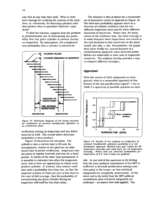can visit at any time they wish. What is their best strategy for verifying the content of the cylinders, or. conversely, for detecting cylinders with less product than is specified ("defected" cylinders)?

To find the solution, suppose that the problem is predominantly one of determining the probability that any given cylinder is present during an inspection. By assumption, the complementary probability that a cylinder is selected for



*Figure 15. Schematic diagram of the timing situation for verification of uranium hexafluoride cylinders at an enrichment plant.*

verification during an inspection and any defect detected is 0.90. The overall defect detection probability is their product.

Figure 15 illustrates the situation. The cylinders take a certain time to fill and, by arrangement, remain at the plant for an additional time to permit verification. Inspectors visit the plant at regular intervals and stay for a fixed period. In terms of the other time parameters, it is possible to calculate how often the inspectors must visit to have an opportunity to check every product cylinder, if, instead, they conduct each visit with a probability less than one, so that the expected number of visits per year is less than in the case of full coverage, then the probability of encountering any given cylinder during an inspection will itself be less than unity.

The solution to this problem for a reasonable set of parameter values is depicted in Figure 16. The detection probability appears there as a function of cylinder residence time for two different inspection rates and for three different durations of inspection. Notice that, for many values of the residence time, the wiser strategy is to make frequent short inspections; one caveat in the real situation is that travel time to the plant would also play a role. Nevertheless, the graph does show vividly two central features of a randomization approach: what detection probabilities are achievable at what cost in inspection resources. The analysis thereby provides a way to compare different strategies.

#### *Appraisal*

With this review of IAEA safeguards as background, what is a reasonable appraisal of this feature of the non-proliferation regime? I list in Table 3 a spectrum of possible opinions on their



*Figure 16. Results of the analysis of verification of uranium hexafluoride cylinders according to a randomization approach. Dashed lines give results for 20 inspections annually and solid lines, for 12 inspections annually. Within each set. detection probabilities for inspections of 5.3. and 2 days are graphed.*

role. At one end of the spectrum is the feeling that the mere political commitment of the NPT is sufficient to forestall proliferation among countries party to the treaty—so that technical safeguards are completely unnecessary. At the other end is the belief that the NFT political commitment plus technical safeguards are irrelevant - no matter how well applied. The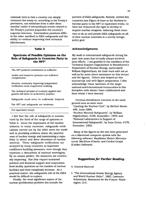rationale here is that a country can simply renounce the treaty or, according to the Treaty's provisions, can withdraw from it after three months" notice if extraordinary events related to the Treaty's purview jeopardize the country's supreme interests. Intermediate positions differ in the value ascribed to IAEA safeguards and the ability to continue improving their technical effectiveness.

#### **Table 3**

#### **Spectrum of Possible Opinions on the Role of Safeguards in Countries Party to** the NPT<sup>\*</sup>

The NPT political commitment is sufficient.

Audits and inspector presence are sufficient complements.

Routine, constantly improving independent verification must supplement auditing.

The technical promise of routinely applied safeguards will never be achieved in practice.

Safeguards could never be sufficiently foolproof.

The NPT and safeguards are irrelevant,

("or equivalent treaty)

I feel that the role of safeguards is summarized by the third of the range of opinions in Table 3. Given the importance of the nuclear industry to many countries, safeguards verifications carried out by the IAEA serve the world well in providing evidence about the peaceful uses of nuclear energy and maintaining a capability to detect and deter diversions of nuclear material. These safeguards verifications are accepted by many countries as important confidence-building measures, even though they represent a dimunition of national sovereignty. By no means perfect, the measures are continually improving. But they require sustained political and financial support and cooperation from facility operators as the number of nuclear facilities and their complexity increase. As a practical matter, the safeguards role of the IAEA would be difficult to replace.

Finally, the most significant aspect of the nuclear-proliferation problem lies outside the

purview of IAEA safeguards. Namely, several key countries (see Figure 4) have so far declined to become party to the NPT or equivalent treaty, so have not renounced the right to develop or acquire nuclear weapons. Inducing these countries to do so and permit IAEA safeguards on all of their nuclear materials is a worthy foreignpolicy goal.

#### *Acknowledgments*

My work in international safeguards during the past nine years has virtually always involved joint efforts. I am grateful to the members of the Technical Support Organization in Brookhaven's Department of Nuclear Energy, particularly William Higinbctham, for their work with me as well as for some direct assistance on this lecture and the figures. Others also helped on this manuscript and with figure preparation. I also acknowledge those members of the larger national and international communities in this discipline with whom I have collaborated and from whom I have learned.

Previous Brookhaven Lectures in the same general area as mine were: "Limiting the Nuclear Club", by Herbert Kouts, #85, June, 1969; "Nuclear Material Safeguards", by William Higinbotham, #138, September, 1976; and "National Laboratories in Support of International Safeguards", by Leon Green, #178, November, 1980.

Many of the figures in the text were generated on a Macintosh computer system with the following software: MapMaker (Select Microsystems), MacDraw (Claris), and Cricket Graph (Cricket Software).

#### *Suggestions for Further Reading*

A. General Material

1. "The International Atomic Energy Agency and World Nuclear Order", 1987. Lawrence Scheinman, Resources for the Future. Washington, D.C.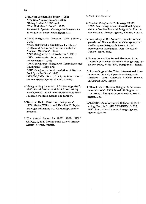- 2."Nuclear Proliferation Today", 1984; 'The New Nuclear Nations", 1985: "Going Nuclear", 1987; and The Undeclared Bomb", 1988; Leonard S. Spector, Carnegie Endowment for International Peace, Washington, D.C.
- 3."IAEA Safeguards: Glossary, 1987 Edition", 1987; "IAEA Safeguards: Guidelines for States' Systems of Accounting for and Control of Nuclear Materials", 1980; "IAEA Safeguards: An Introduction", 1981; "IAEA Safeguards: Aims, Limitations, Achievements", 1983; "IAEA Safeguards: Safeguards Techniques and Equipment", 1984; and "IAEA Safeguards: Implementation at Nuclear Fuel Cycle Facilities", 1985; IAEA/SG/INF/l(Rev. 1),2,3,4,5,6, International Atomic Energy Agency, Vienna, Austria.
- 4."Safeguarding the Atom: A Critical Appraisal", 1985, David Fischer and Paul Szasz, ed. by Jozef Goldblat, Stockholm International Peace Research Institute, Stockholm, Sweden.
- 5."Nuclear Theft: Risks and Safeguards", 1974, Mason Willrich and Theodore B. Taylor, Ballinger Publishing Co., Cambridge, Massachusetts.
- 6."The Annual Report for 1987", 1988, IAEA/ GC(XXXII)/835, International Atomic Energy Agency, Vienna, Austria.

B. Technical Material

- 7. "Nuclear Safeguards Technology 1986". 1987, Proceedings of an International Symposium on Nuclear Material Safeguards, International Atomic Energy Agency, Vienna. Austria.
- 8. Proceedings *of* the Annual Symposia on Safeguards and Nuclear Materials Management of the European Safeguards Research and Development Association, Joint Research Centre, Ispra. Italy.
- 9. Proceedings of the Annual Meetings of the Institute of Nuclear Materials Management, 60 Revere Drive, Suite 500. Northbrook, Illinois.
- 10."Proceedings of the Third International Conference on Facility Operations-Safeguards Interface", 1988, American Nuclear Society, La Grange Park, Illinois.
- 11 ."Handbook of Nuclear Safeguards Measurement Methods", 1983, Donald R. Rogers, ed.. U.S. Nuclear Regulatory Commission, Washington, D.C.
- 12."TASTEX: Tokai Advanced Safeguards Technology Exercise", IAEA/STI/DOC/10/213, 1982, International Atomic Energy Agency. Vienna, Austria.